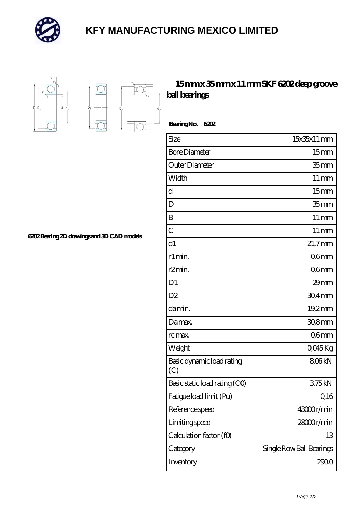

## **[KFY MANUFACTURING MEXICO LIMITED](https://m.mailemotion.tv)**



 $D_a$ 

Ď.

## **[15 mm x 35 mm x 11 mm SKF 6202 deep groove](https://m.mailemotion.tv/bd-413085-skf-6202-deep-groove-ball-bearings.html) [ball bearings](https://m.mailemotion.tv/bd-413085-skf-6202-deep-groove-ball-bearings.html)**

 **Bearing No. 6202**

| Size                             | 15x35x11 mm              |
|----------------------------------|--------------------------|
| <b>Bore Diameter</b>             | 15 <sub>mm</sub>         |
| Outer Diameter                   | 35 <sub>mm</sub>         |
| Width                            | $11 \,\mathrm{mm}$       |
| d                                | 15 <sub>mm</sub>         |
| D                                | 35 <sub>mm</sub>         |
| B                                | $11 \,\mathrm{mm}$       |
| $\overline{C}$                   | $11 \,\mathrm{mm}$       |
| d1                               | $21,7$ mm                |
| r1 min.                          | Q6mm                     |
| r2min.                           | Q6mm                     |
| D <sub>1</sub>                   | 29mm                     |
| D <sub>2</sub>                   | $304$ mm                 |
| da min.                          | 19.2mm                   |
| Damax.                           | $308$ mm                 |
| rc max.                          | Q6mm                     |
| Weight                           | QO45Kg                   |
| Basic dynamic load rating<br>(C) | 806kN                    |
| Basic static load rating (CO)    | 375kN                    |
| Fatigue load limit (Pu)          | 0,16                     |
| Reference speed                  | 43000r/min               |
| Limiting speed                   | 28000r/min               |
| Calculation factor (f0)          | 13                       |
| Category                         | Single Row Ball Bearings |
| Inventory                        | 2900                     |

**[6202 Bearing 2D drawings and 3D CAD models](https://m.mailemotion.tv/pic-413085.html)**